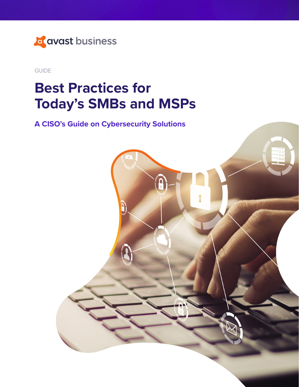

GUIDE

# **Best Practices for Today's SMBs and MSPs**

**A CISO's Guide on Cybersecurity Solutions**

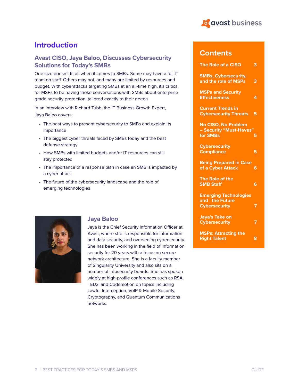

#### **Introduction**

#### **Avast CISO, Jaya Baloo, Discusses Cybersecurity Solutions for Today's SMBs**

One size doesn't fit all when it comes to SMBs. Some may have a full IT team on staff. Others may not, and many are limited by resources and budget. With cyberattacks targeting SMBs at an all-time high, it's critical for MSPs to be having those conversations with SMBs about enterprise grade security protection, tailored exactly to their needs.

In an interview with Richard Tubb, the IT Business Growth Expert, Jaya Baloo covers:

- The best ways to present cybersecurity to SMBs and explain its importance
- The biggest cyber threats faced by SMBs today and the best defense strategy
- How SMBs with limited budgets and/or IT resources can still stay protected
- The importance of a response plan in case an SMB is impacted by a cyber attack
- The future of the cybersecurity landscape and the role of emerging technologies



#### **Jaya Baloo**

Jaya is the Chief Security Information Officer at Avast, where she is responsible for information and data security, and overseeing cybersecurity. She has been working in the field of information security for 20 years with a focus on secure network architecture. She is a faculty member of Singularity University and also sits on a number of infosecurity boards. She has spoken widely at high-profile conferences such as RSA, TEDx, and Codemotion on topics including Lawful Interception, VoIP & Mobile Security, Cryptography, and Quantum Communications networks.

#### **Contents**

| The Role of a CISO                                                     | 3 |
|------------------------------------------------------------------------|---|
| <b>SMBs, Cybersecurity,</b><br>and the role of MSPs                    | 3 |
| <b>MSPs and Security</b><br><b>Effectiveness</b>                       | 4 |
| <b>Current Trends in</b><br><b>Cybersecurity Threats</b>               | 5 |
| <b>No CISO, No Problem</b><br>- Security "Must-Haves"<br>for SMBs      | 5 |
| <b>Cybersecurity</b><br><b>Compliance</b>                              | 5 |
| <b>Being Prepared in Case</b><br>of a Cyber Attack                     | 6 |
| The Role of the<br><b>SMB Staff</b>                                    | 6 |
| <b>Emerging Technologies</b><br>and the Future<br><b>Cybersecurity</b> | 7 |
| <b>Jaya's Take on</b><br><b>Cybersecurity</b>                          | 7 |
| <b>MSPs: Attracting the</b><br><b>Right Talent</b>                     | 8 |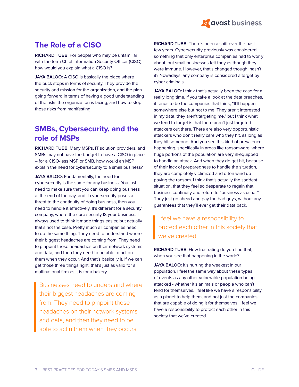

## **The Role of a CISO**

**RICHARD TUBB:** For people who may be unfamiliar with the term Chief Information Security Officer (CISO), how would you explain what a CISO is?

JAYA BALOO: A CISO is basically the place where the buck stops in terms of security. They provide the security and mission for the organization, and the plan going forward in terms of having a good understanding of the risks the organization is facing, and how to stop those risks from manifesting.

#### **SMBs, Cybersecurity, and the role of MSPs**

**RICHARD TUBB:** Many MSPs, IT solution providers, and SMBs may not have the budget to have a CISO in place – for a CISO-less MSP or SMB, how would an MSP explain the need for cybersecurity to a small business?

JAYA BALOO: Fundamentally, the need for cybersecurity is the same for any business. You just need to make sure that you can keep doing business at the end of the day, and if cybersecurity poses a threat to the continuity of doing business, then you need to handle it effectively. It's different for a security company, where the core security IS your business. I always used to think it made things easier, but actually that's not the case. Pretty much all companies need to do the same thing. They need to understand where their biggest headaches are coming from. They need to pinpoint those headaches on their network systems and data, and then they need to be able to act on them when they occur. And that's basically it. If we can get those three things right, that's just as valid for a multinational firm as it is for a bakery.

Businesses need to understand where their biggest headaches are coming from. They need to pinpoint those headaches on their network systems and data, and then they need to be able to act n them when they occurs.

**RICHARD TUBB:** There's been a shift over the past few years. Cybersecurity previously was considered something that only enterprise companies had to worry about, but small businesses felt they as though they were immune. However, that's changed though, hasn't it? Nowadays, any company is considered a target by cyber criminals.

JAYA BALOO: I think that's actually been the case for a really long time. If you take a look at the data breaches, it tends to be the companies that think, "It'll happen somewhere else but not to me. They aren't interested in my data, they aren't targeting me," but I think what we tend to forget is that there aren't just targeted attackers out there. There are also very opportunistic attackers who don't really care who they hit, as long as they hit someone. And you see this kind of prevalence happening, specifically in areas like ransomware, where huge portions of the population are very ill-equipped to handle an attack. And when they do get hit, because of their lack of preparedness to handle the situation, they are completely victimized and often wind up paying the ransom. I think that's actually the saddest situation, that they feel so desperate to regain that business continuity and return to "business as usual." They just go ahead and pay the bad guys, without any guarantees that they'll ever get their data back.

I feel we have a responsibility to protect each other in this society that we've created.

**RICHARD TUBB:** How frustrating do you find that, when you see that happening in the world?

JAYA BALOO: It's hurting the weakest in our population. I feel the same way about these types of events as any other vulnerable population being attacked - whether it's animals or people who can't fend for themselves. I feel like we have a responsibility as a planet to help them, and not just the companies that are capable of doing it for themselves. I feel we have a responsibility to protect each other in this society that we've created.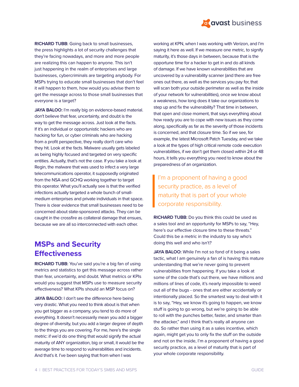

**RICHARD TUBB:** Going back to small businesses, the press highlights a lot of security challenges that they're facing nowadays, and more and more people are realizing this can happen to anyone. This isn't just happening in the realm of enterprises and large businesses, cybercriminals are targeting anybody. For MSPs trying to educate small businesses that don't feel it will happen to them, how would you advise them to get the message across to those small businesses that everyone is a target?

JAYA BALOO: I'm really big on evidence-based material. don't believe that fear, uncertainty, and doubt is the way to get the message across. Just look at the facts. If it's an individual or opportunistic hackers who are hacking for fun, or cyber criminals who are hacking from a profit perspective, they really don't care who they hit. Look at the facts. Malware usually gets labeled as being highly focused and targeted on very specific entities. Actually, that's not the case. If you take a look at Regin, the malware that was used to infect a very large telecommunications operator, it supposedly originated from the NSA and GCHQ working together to target this operator. What you'll actually see is that the verified infections actually targeted a whole bunch of smallmedium enterprises and private individuals in that space. There is clear evidence that small businesses need to be concerned about state-sponsored attacks. They can be caught in the crossfire as collateral damage that ensues, because we are all so interconnected with each other.

## **MSPs and Security Effectiveness**

**RICHARD TUBB:** You've said you're a big fan of using metrics and statistics to get this message across rather than fear, uncertainty, and doubt. What metrics or KPIs would you suggest that MSPs use to measure security effectiveness? What KPIs should an MSP focus on?

**JAYA BALOO:** I don't see the difference here being very drastic. What you need to think about is that when you get bigger as a company, you tend to do more of everything. It doesn't necessarily mean you add a bigger degree of diversity, but you add a larger degree of depth to the things you are covering. For me, here's the single metric: if we'd do one thing that would signify the actual maturity of ANY organization, big or small, it would be the average time to respond to vulnerabilities and incidents. And that's it. I've been saying that from when I was

working at KPN, when I was working with Verizon, and I'm saying it here as well. If we measure one metric, to signify maturity, it's those days in between, because that is the opportune time for a hacker to get in and do all kinds of damage. If we have known vulnerabilities that are uncovered by a vulnerability scanner (and there are free ones out there, as well as the services you pay for, that will scan both your outside perimeter as well as the inside of your network for vulnerabilities), once we know about a weakness, how long does it take our organizations to step up and fix the vulnerability? That time in between, that open and close moment, that says everything about how ready you are to cope with new issues as they come along, specifically as far as the severity of those incidents is concerned, and that closure time. So if we see, for example, the latest Microsoft Patch Tuesday, and we take a look at the types of high critical remote code execution vulnerabilities, if we don't get them closed within 24 or 48 hours, it tells you everything you need to know about the preparedness of an organization.

I'm a proponent of having a good security practice, as a level of maturity that is part of your whole corporate responsibility.

**RICHARD TUBB:** Do you think this could be used as a sales tool and an opportunity for MSPs to say, "Hey, here's our effective closure time to these threats." Could this be a metric in the industry to say who's doing this well and who isn't?

JAYA BALOO: While I'm not so fond of it being a sales tactic, what I am genuinely a fan of is having this mature understanding that we're never going to prevent vulnerabilities from happening. If you take a look at some of the code that's out there, we have millions and millions of lines of code, it's nearly impossible to weed out all of the bugs - ones that are either accidentally or intentionally placed. So the smartest way to deal with it is to say, "Hey, we know it's going to happen, we know stuff is going to go wrong, but we're going to be able to roll with the punches better, faster, and smarter than the attacker," and I think that's really all anyone can do. So rather than using it as a sales incentive, which again, might get you to only fix the stuff on the outside and not on the inside, I'm a proponent of having a good security practice, as a level of maturity that is part of your whole corporate responsibility.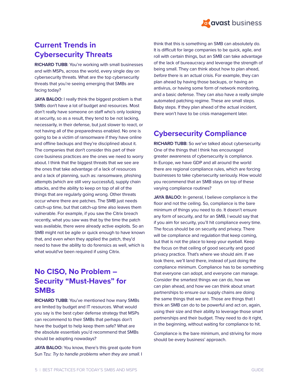

# **Current Trends in Cybersecurity Threats**

**RICHARD TUBB:** You're working with small businesses and with MSPs, across the world, every single day on cybersecurity threats. What are the top cybersecurity threats that you're seeing emerging that SMBs are facing today?

JAYA BALOO: I really think the biggest problem is that SMBs don't have a lot of budget and resources. Most don't really have someone on staff who's only looking at security, so as a result, they tend to be not lacking, necessarily, in their defense, but just slower to react, or not having all of the preparedness enabled. No one is going to be a victim of ransomware if they have online and offline backups and they're disciplined about it. The companies that don't consider this part of their core business practices are the ones we need to worry about. I think that the biggest threats that we see are the ones that take advantage of a lack of resources and a lack of planning, such as: ransomware, phishing attempts (which are still very successful), supply chain attacks, and the ability to keep on top of all of the things that are regularly going wrong. Other threats occur where there are patches. The SMB just needs catch-up time, but that catch-up time also leaves them vulnerable. For example, if you saw the Citrix breach recently, what you saw was that by the time the patch was available, there were already active exploits. So an SMB might not be agile or quick enough to have known that, and even when they applied the patch, they'd need to have the ability to do forensics as well, which is what would've been required if using Citrix.

# **No CISO, No Problem – Security "Must-Haves" for SMBs**

**RICHARD TUBB:** You've mentioned how many SMBs are limited by budget and IT resources. What would you say is the best cyber defense strategy that MSPs can recommend to their SMBs that perhaps don't have the budget to help keep them safe? What are the absolute essentials you'd recommend that SMBs should be adopting nowadays?

**JAYA BALOO:** You know, there's this great quote from Sun Tzu: Try to handle problems when they are small. I think that this is something an SMB can absolutely do. It is difficult for large companies to be quick, agile, and roll with certain things, but an SMB can take advantage of the lack of bureaucracy and leverage the strength of being small. They can think about how to plan ahead, before there is an actual crisis. For example, they can plan ahead by having those backups, or having an antivirus, or having some form of network monitoring, and a basic defense. They can also have a really simple automated patching regime. These are small steps. Baby steps. If they plan ahead of the actual incident, there won't have to be crisis management later.

# **Cybersecurity Compliance**

**RICHARD TUBB:** So we've talked about cybersecurity. One of the things that I think has encouraged greater awareness of cybersecurity is compliance. In Europe, we have GDP and all around the world there are regional compliance rules, which are forcing businesses to take cybersecurity seriously. How would you recommend that an SMB stays on top of these varying compliance routines?

JAYA BALOO: In general, I believe compliance is the floor and not the ceiling. So, compliance is the bare minimum of things you need to do. It doesn't ensure any form of security, and for an SMB, I would say that if you aim for security, you'll hit compliance every time. The focus should be on security and privacy. There will be compliance and regulation that keep coming, but that is not the place to keep your eyeball. Keep the focus on that ceiling of good security and good privacy practice. That's where we should aim. If we look there, we'll land there, instead of just doing the compliance minimum. Compliance has to be something that everyone can adopt, and everyone can manage. Consider the smartest things we can do, how we can plan ahead, and how we can think about smart partnerships to ensure our supply chains are doing the same things that we are. Those are things that I think an SMB can do to be powerful and act on, again, using their size and their ability to leverage those smart partnerships and their budget. They need to do it right, in the beginning, without waiting for compliance to hit.

Compliance is the bare minimum, and striving for more should be every business' approach.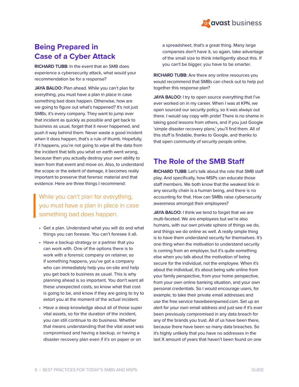

# **Being Prepared in Case of a Cyber Attack**

**RICHARD TUBB:** In the event that an SMB does experience a cybersecurity attack, what would your recommendation be for a response?

JAYA BALOO: Plan ahead. While you can't plan for everything, you must have a plan in place in case something bad does happen. Otherwise, how are we going to figure out what's happened? It's not just SMBs, it's every company. They want to jump over that incident as quickly as possible and get back to business as usual, forget that it never happened, and push it way behind them. Never waste a good incident when it does happen, that's a rule of thumb. Hopefully, if it happens, you're not going to wipe all the data from the incident that tells you what on earth went wrong, because then you actually destroy your own ability to learn from that event and move on. Also, to understand the scope or the extent of damage, it becomes really important to preserve that forensic material and that evidence. Here are three things I recommend:

#### While you can't plan for everything, you must have a plan in place in case something bad does happen.

- Get a plan. Understand what you will do and what things you can foresee. You can't foresee it all.
- Have a backup strategy or a partner that you can work with. One of the options there is to work with a forensic company on retainer, so if something happens, you've got a company who can immediately help you on-site and help you get back to business as usual. This is why planning ahead is so important. You don't want all these unexpected costs, so know what that cost is going to be, and know if they are going to try to extort you at the moment of the actual incident.
- Have a deep knowledge about all of those super vital assets, so for the duration of the incident, you can still continue to do business. Whether that means understanding that the vital asset was compromised and having a backup, or having a disaster recovery plan even if it's on paper or on

a spreadsheet, that's a great thing. Many large companies don't have it, so again, take advantage of the small size to think intelligently about this. If you can't be bigger, you have to be smarter.

**RICHARD TUBB:** Are there any online resources you would recommend that SMBs can check out to help put together this response plan?

JAYA BALOO: I try to open source everything that I've ever worked on in my career. When I was at KPN, we open sourced our security policy, so it was always out there. I would say copy with pride! There is no shame in taking good lessons from others, and if you just Google 'simple disaster recovery plans,' you'll find them. All of this stuff is findable, thanks to Google, and thanks to that open community of security people online.

#### **The Role of the SMB Staff**

**RICHARD TUBB:** Let's talk about the role that SMB staff play. And specifically, how MSPs can educate those staff members. We both know that the weakest link in any security chain is a human being, and there is no accounting for that. How can SMBs raise cybersecurity awareness amongst their employees?

JAYA BALOO: I think we tend to forget that we are multi-faceted. We are employees but we're also humans, with our own private sphere of things we do, and things we do online as well. A really simple thing is to have them understand security for themselves. It's one thing when the motivation to understand security is coming from an employer, but it's quite something else when you talk about the motivation of being secure for the individual, not the employee. When it's about the individual, it's about being safe online from your family perspective, from your home perspective, from your own online banking situation, and your own personal credentials. So I would encourage users, for example, to take their private email addresses and use the free service haveibeenpwned.com. Set up an alert for your own email address and just see if it's ever been previously compromised in any data breach for any of the brands you trust. All of us have been there, because there have been so many data breaches. So it's highly unlikely that you have no addresses in the last X amount of years that haven't been found on one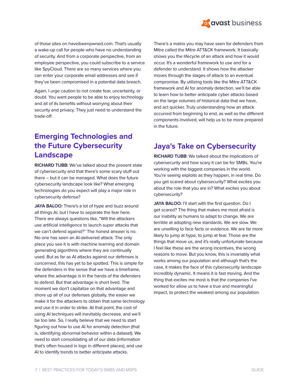

of those sites on haveibeenpwned.com. That's usually a wake-up call for people who have no understanding of security. And from a corporate perspective, from an employee perspective, you could subscribe to a service like SpyCloud. There are so many services where you can enter your corporate email addresses and see if they've been compromised in a potential data breach.

Again, I urge caution to not create fear, uncertainty, or doubt. You want people to be able to enjoy technology and all of its benefits without worrying about their security and privacy. They just need to understand the trade-off.

# **Emerging Technologies and the Future Cybersecurity Landscape**

**RICHARD TUBB:** We've talked about the present state of cybersecurity and that there's some scary stuff out there – but it can be managed. What does the future cybersecurity landscape look like? What emerging technologies do you expect will play a major role in cybersecurity defense?

JAYA BALOO: There's a lot of hype and buzz around all things AI, but I have to separate the fear here. There are always questions like, "Will the attackers use artificial intelligence to launch super attacks that we can't defend against?" The honest answer is no. No one has seen an AI-delivered attack. The only place you see it is with machine learning and domain generating algorithms where they are continually used. But as far as AI attacks against our defenses is concerned, this has yet to be spotted. This is simple for the defenders in the sense that we have a timeframe, where the advantage is in the hands of the defenders to defend. But that advantage is short lived. The moment we don't capitalize on that advantage and shore up all of our defenses globally, the easier we make it for the attackers to obtain that same technology and use it in order to strike. At that point, the cost of using AI techniques will inevitably decrease, and we'll be too late. So, I really believe that we need to start figuring out how to use AI for anomaly detection (that is, identifying abnormal behavior within a dataset). We need to start consolidating all of our data (information that's often housed in logs in different places), and use AI to identify trends to better anticipate attacks.

There's a matrix you may have seen for defenders from Mitre called the Mitre ATT&CK framework. It basically shows you the lifecycle of an attack and how it would occur. It's a wonderful framework to use and for a defender to understand. It shows how the attacker moves through the stages of attack to an eventual compromise. By utilizing tools like the Mitre ATT&CK framework and AI for anomaly detection, we'll be able to learn how to better anticipate cyber attacks based on the large volumes of historical data that we have, and act quicker. Truly understanding how an attack occurred from beginning to end, as well as the different components involved, will help us to be more prepared in the future.

# **Jaya's Take on Cybersecurity**

**RICHARD TUBB:** We talked about the implications of cybersecurity and how scary it can be for SMBs. You're working with the biggest companies in the world. You're seeing exploits as they happen, in real time. Do you get scared about cybersecurity? What excites you about the role that you are in? What excites you about cybersecurity?

JAYA BALOO: I'll start with the first question. Do I get scared? The thing that makes me most afraid is our inability as humans to adapt to change. We are terrible at adopting new standards. We are slow. We are unwilling to face facts or evidence. We are far more likely to jump at hype, to jump at fear. Those are the things that move us, and it's really unfortunate because I feel like these are the wrong incentives, the wrong reasons to move. But you know, this is invariably what works among our population and although that's the case, it makes the face of this cybersecurity landscape incredibly dynamic. It means it is fast moving. And the thing that excites me most is that the companies I've worked for allow us to have a true and meaningful impact, to protect the weakest among our population.